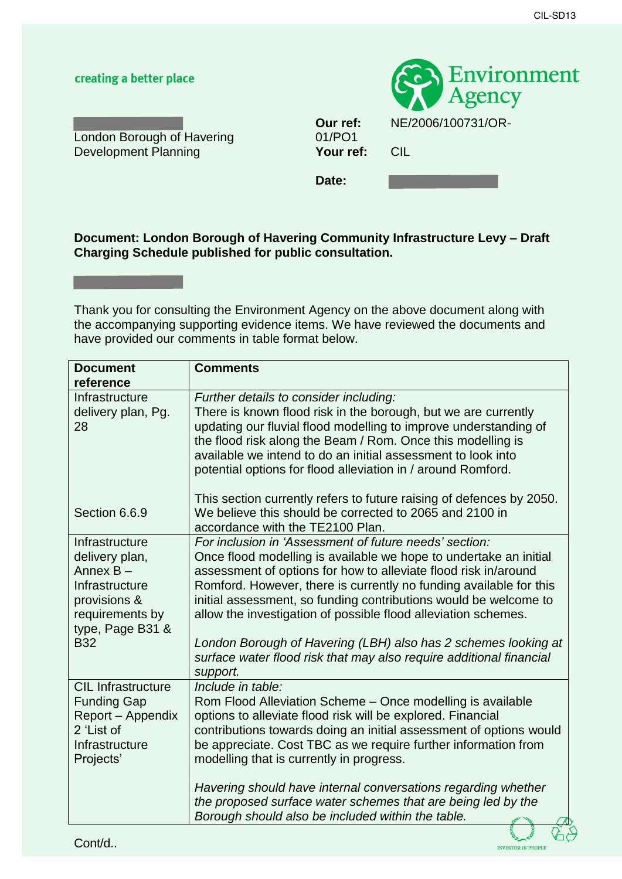## creating a better place



**London Borough of Havering 61/PO1**<br>Development Planning **1999 Your ref:** Development Planning **Your ref:** CIL

**Our ref:** NE/2006/100731/OR-

Date:

## **Document: London Borough of Havering Community Infrastructure Levy – Draft Charging Schedule published for public consultation.**

 have provided our comments in table format below. Thank you for consulting the Environment Agency on the above document along with the accompanying supporting evidence items. We have reviewed the documents and

| <b>Document</b><br>reference                                                                                                        | <b>Comments</b>                                                                                                                                                                                                                                                                                                                                                                                                                                                                                                                                     |
|-------------------------------------------------------------------------------------------------------------------------------------|-----------------------------------------------------------------------------------------------------------------------------------------------------------------------------------------------------------------------------------------------------------------------------------------------------------------------------------------------------------------------------------------------------------------------------------------------------------------------------------------------------------------------------------------------------|
| Infrastructure<br>delivery plan, Pg.<br>28                                                                                          | Further details to consider including:<br>There is known flood risk in the borough, but we are currently<br>updating our fluvial flood modelling to improve understanding of<br>the flood risk along the Beam / Rom. Once this modelling is<br>available we intend to do an initial assessment to look into<br>potential options for flood alleviation in / around Romford.                                                                                                                                                                         |
| Section 6.6.9                                                                                                                       | This section currently refers to future raising of defences by 2050.<br>We believe this should be corrected to 2065 and 2100 in<br>accordance with the TE2100 Plan.                                                                                                                                                                                                                                                                                                                                                                                 |
| Infrastructure<br>delivery plan,<br>Annex B-<br>Infrastructure<br>provisions &<br>requirements by<br>type, Page B31 &<br><b>B32</b> | For inclusion in 'Assessment of future needs' section:<br>Once flood modelling is available we hope to undertake an initial<br>assessment of options for how to alleviate flood risk in/around<br>Romford. However, there is currently no funding available for this<br>initial assessment, so funding contributions would be welcome to<br>allow the investigation of possible flood alleviation schemes.<br>London Borough of Havering (LBH) also has 2 schemes looking at<br>surface water flood risk that may also require additional financial |
| <b>CIL Infrastructure</b><br><b>Funding Gap</b><br>Report – Appendix<br>2 'List of<br>Infrastructure<br>Projects'                   | support.<br>Include in table:<br>Rom Flood Alleviation Scheme - Once modelling is available<br>options to alleviate flood risk will be explored. Financial<br>contributions towards doing an initial assessment of options would<br>be appreciate. Cost TBC as we require further information from<br>modelling that is currently in progress.<br>Havering should have internal conversations regarding whether                                                                                                                                     |
|                                                                                                                                     | the proposed surface water schemes that are being led by the<br>Borough should also be included within the table.                                                                                                                                                                                                                                                                                                                                                                                                                                   |